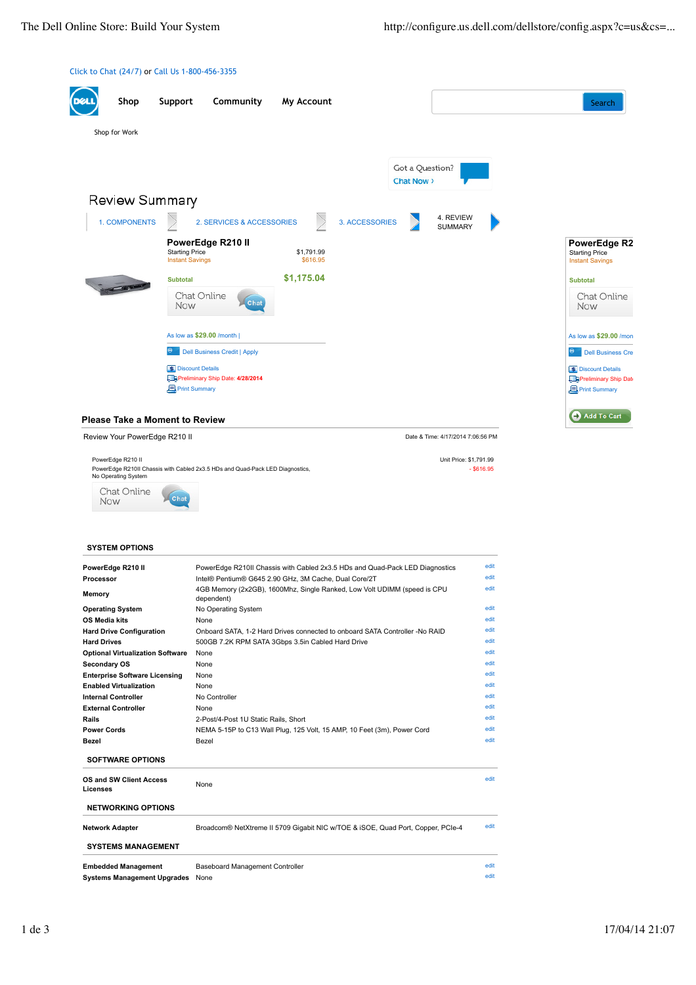Unit Price: \$1,791.99  $-$  \$616.95





PowerEdge R210 II PowerEdge R210II Chassis with Cabled 2x3.5 HDs and Quad-Pack LED Diagnostics, No Operating System

Chat Online Chat Now

## **SYSTEM OPTIONS**

| PowerEdge R210 II                       | PowerEdge R210II Chassis with Cabled 2x3.5 HDs and Quad-Pack LED Diagnostics           | edit |  |  |  |  |
|-----------------------------------------|----------------------------------------------------------------------------------------|------|--|--|--|--|
| Processor                               | Intel® Pentium® G645 2.90 GHz, 3M Cache, Dual Core/2T                                  | edit |  |  |  |  |
| Memory                                  | 4GB Memory (2x2GB), 1600Mhz, Single Ranked, Low Volt UDIMM (speed is CPU<br>dependent) |      |  |  |  |  |
| <b>Operating System</b>                 | No Operating System                                                                    | edit |  |  |  |  |
| OS Media kits                           | None                                                                                   | edit |  |  |  |  |
| <b>Hard Drive Configuration</b>         | Onboard SATA, 1-2 Hard Drives connected to onboard SATA Controller -No RAID            |      |  |  |  |  |
| <b>Hard Drives</b>                      | 500GB 7.2K RPM SATA 3Gbps 3.5in Cabled Hard Drive                                      |      |  |  |  |  |
| <b>Optional Virtualization Software</b> | None                                                                                   | edit |  |  |  |  |
| Secondary OS                            | None                                                                                   | edit |  |  |  |  |
| <b>Enterprise Software Licensing</b>    | None                                                                                   | edit |  |  |  |  |
| <b>Enabled Virtualization</b>           | None                                                                                   | edit |  |  |  |  |
| <b>Internal Controller</b>              | No Controller                                                                          | edit |  |  |  |  |
| <b>External Controller</b>              | None                                                                                   | edit |  |  |  |  |
| Rails                                   | 2-Post/4-Post 1U Static Rails, Short                                                   | edit |  |  |  |  |
| <b>Power Cords</b>                      | NEMA 5-15P to C13 Wall Plug, 125 Volt, 15 AMP, 10 Feet (3m), Power Cord                | edit |  |  |  |  |
| Bezel                                   | Bezel                                                                                  | edit |  |  |  |  |
| <b>SOFTWARE OPTIONS</b>                 |                                                                                        |      |  |  |  |  |
| OS and SW Client Access<br>Licenses     | None                                                                                   | edit |  |  |  |  |
| <b>NETWORKING OPTIONS</b>               |                                                                                        |      |  |  |  |  |
| <b>Network Adapter</b>                  | Broadcom® NetXtreme II 5709 Gigabit NIC w/TOE & iSOE, Quad Port, Copper, PCIe-4        | edit |  |  |  |  |
| <b>SYSTEMS MANAGEMENT</b>               |                                                                                        |      |  |  |  |  |
| <b>Embedded Management</b>              | Baseboard Management Controller                                                        | edit |  |  |  |  |
| <b>Systems Management Upgrades</b>      | None                                                                                   |      |  |  |  |  |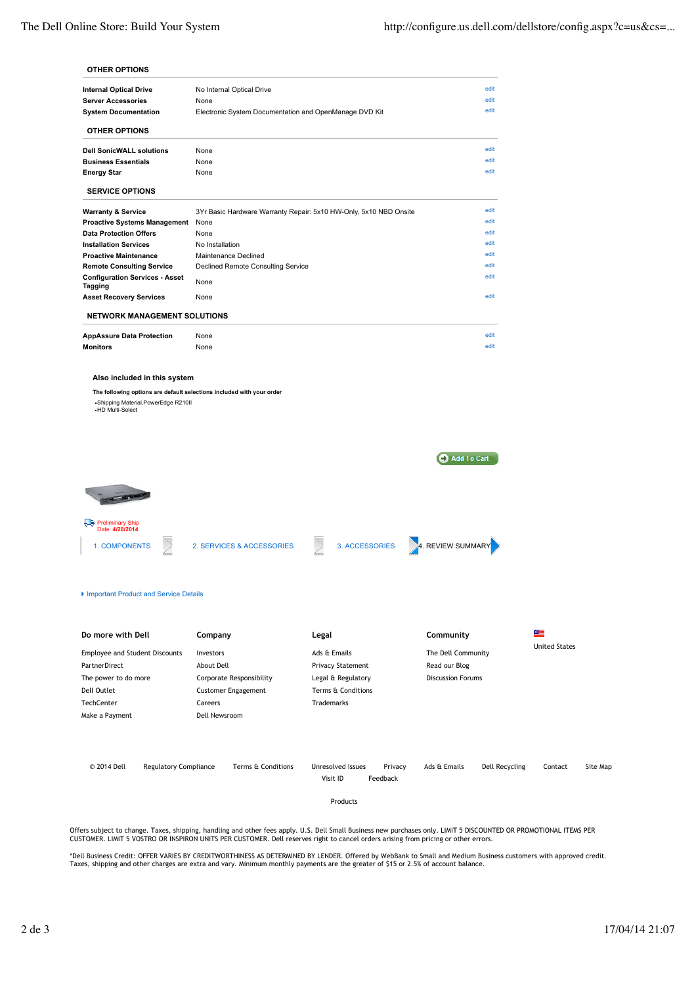## **OTHER OPTIONS**

| <b>Internal Optical Drive</b>                    | No Internal Optical Drive                                         | edit |
|--------------------------------------------------|-------------------------------------------------------------------|------|
| <b>Server Accessories</b>                        | None                                                              | edit |
| <b>System Documentation</b>                      | Electronic System Documentation and OpenManage DVD Kit            | edit |
| <b>OTHER OPTIONS</b>                             |                                                                   |      |
| <b>Dell SonicWALL solutions</b>                  | None                                                              | edit |
| <b>Business Essentials</b>                       | None                                                              | edit |
| <b>Energy Star</b>                               | None                                                              | edit |
| <b>SERVICE OPTIONS</b>                           |                                                                   |      |
| <b>Warranty &amp; Service</b>                    | 3Yr Basic Hardware Warranty Repair: 5x10 HW-Only, 5x10 NBD Onsite | edit |
| <b>Proactive Systems Management</b>              | None                                                              | edit |
| <b>Data Protection Offers</b>                    | None                                                              | edit |
| <b>Installation Services</b>                     | No Installation                                                   | edit |
| <b>Proactive Maintenance</b>                     | Maintenance Declined                                              | edit |
| <b>Remote Consulting Service</b>                 | Declined Remote Consulting Service                                | edit |
| <b>Configuration Services - Asset</b><br>Tagging | None                                                              | edit |
| <b>Asset Recovery Services</b>                   | None                                                              | edit |
| <b>NETWORK MANAGEMENT SOLUTIONS</b>              |                                                                   |      |
| <b>AppAssure Data Protection</b>                 | None                                                              | edit |

**Monitors Example 2018 None** edit **None** edit **none edit and a set of the edit of the edit of the edit of the edit of the edit of the edit of the edit of the edit of the edit of the edit of the edit of the edit of the** 

## **Also included in this system**

**The following options are default selections included with your order**

Shipping Material,PowerEdge R210II HD Multi-Select

Add To Cart



## Important Product and Service Details

| Do more with Dell                                                                                                  |                              | Company                                                                                      |                    | Legal                                                                                              |          |                                                                 | Community    |                | ≝<br><b>United States</b> |          |
|--------------------------------------------------------------------------------------------------------------------|------------------------------|----------------------------------------------------------------------------------------------|--------------------|----------------------------------------------------------------------------------------------------|----------|-----------------------------------------------------------------|--------------|----------------|---------------------------|----------|
| <b>Employee and Student Discounts</b><br>PartnerDirect<br>The power to do more<br>Dell Outlet<br><b>TechCenter</b> |                              | Investors<br>About Dell<br>Corporate Responsibility<br><b>Customer Engagement</b><br>Careers |                    | Ads & Emails<br><b>Privacy Statement</b><br>Legal & Regulatory<br>Terms & Conditions<br>Trademarks |          | The Dell Community<br>Read our Blog<br><b>Discussion Forums</b> |              |                |                           |          |
| Dell Newsroom<br>Make a Payment                                                                                    |                              |                                                                                              |                    |                                                                                                    |          |                                                                 |              |                |                           |          |
| © 2014 Dell                                                                                                        | <b>Regulatory Compliance</b> |                                                                                              | Terms & Conditions | Unresolved Issues<br>Visit ID                                                                      | Feedback | Privacy                                                         | Ads & Emails | Dell Recycling | Contact                   | Site Map |

Products

Offers subject to change. Taxes, shipping, handling and other fees apply. U.S. Dell Small Business new purchases only. LIMIT 5 DISCOUNTED OR PROMOTIONAL ITEMS PER<br>CUSTOMER. LIMIT 5 VOSTRO OR INSPIRON UNITS PER CUSTOMER. De

\*Dell Business Credit: OFFER VARIES BY CREDITWORTHINESS AS DETERMINED BY LENDER. Offered by WebBank to Small and Medium Business customers with approved credit.<br>Taxes, shipping and other charges are extra and vary. Minimum